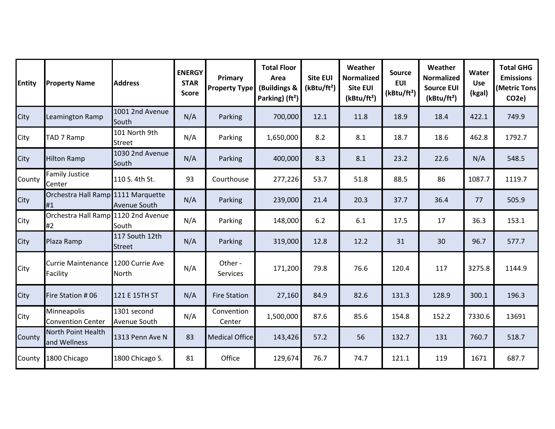| <b>Entity</b> | <b>Property Name</b>                           | <b>Address</b>                  | <b>ENERGY</b><br><b>STAR</b><br><b>Score</b> | Primary<br><b>Property Type</b> | <b>Total Floor</b><br>Area<br>(Buildings &<br>Parking) (ft <sup>2</sup> ) | <b>Site EUI</b><br>(kBtu/ft <sup>2</sup> ) | Weather<br><b>Normalized</b><br><b>Site EUI</b><br>(kBtu/ft <sup>2</sup> ) | <b>Source</b><br><b>EUI</b><br>(kBtu/ft <sup>2</sup> ) | Weather<br><b>Normalized</b><br><b>Source EUI</b><br>(kBtu/ft <sup>2</sup> ) | <b>Water</b><br><b>Use</b><br>(kgal) | <b>Total GHG</b><br><b>Emissions</b><br><b>Metric Tons</b><br>CO <sub>2</sub> e) |
|---------------|------------------------------------------------|---------------------------------|----------------------------------------------|---------------------------------|---------------------------------------------------------------------------|--------------------------------------------|----------------------------------------------------------------------------|--------------------------------------------------------|------------------------------------------------------------------------------|--------------------------------------|----------------------------------------------------------------------------------|
| City          | Leamington Ramp                                | 1001 2nd Avenue<br>South        | N/A                                          | Parking                         | 700,000                                                                   | 12.1                                       | 11.8                                                                       | 18.9                                                   | 18.4                                                                         | 422.1                                | 749.9                                                                            |
| City          | TAD 7 Ramp                                     | 101 North 9th<br><b>Street</b>  | N/A                                          | Parking                         | 1,650,000                                                                 | 8.2                                        | 8.1                                                                        | 18.7                                                   | 18.6                                                                         | 462.8                                | 1792.7                                                                           |
| City          | <b>Hilton Ramp</b>                             | 1030 2nd Avenue<br>South        | N/A                                          | Parking                         | 400,000                                                                   | 8.3                                        | 8.1                                                                        | 23.2                                                   | 22.6                                                                         | N/A                                  | 548.5                                                                            |
| County        | <b>Family Justice</b><br>Center                | 110 S. 4th St.                  | 93                                           | Courthouse                      | 277,226                                                                   | 53.7                                       | 51.8                                                                       | 88.5                                                   | 86                                                                           | 1087.7                               | 1119.7                                                                           |
| City          | Orchestra Hall Ramp 1111 Marquette<br>#1       | Avenue South                    | N/A                                          | Parking                         | 239,000                                                                   | 21.4                                       | 20.3                                                                       | 37.7                                                   | 36.4                                                                         | 77                                   | 505.9                                                                            |
| City          | Orchestra Hall Ramp 1120 2nd Avenue<br>#2      | South                           | N/A                                          | Parking                         | 148,000                                                                   | 6.2                                        | 6.1                                                                        | 17.5                                                   | 17                                                                           | 36.3                                 | 153.1                                                                            |
| City          | Plaza Ramp                                     | 117 South 12th<br><b>Street</b> | N/A                                          | Parking                         | 319,000                                                                   | 12.8                                       | 12.2                                                                       | 31                                                     | 30                                                                           | 96.7                                 | 577.7                                                                            |
| City          | Currie Maintenance 1200 Currie Ave<br>Facility | <b>North</b>                    | N/A                                          | Other -<br><b>Services</b>      | 171,200                                                                   | 79.8                                       | 76.6                                                                       | 120.4                                                  | 117                                                                          | 3275.8                               | 1144.9                                                                           |
| City          | Fire Station # 06                              | 121 E 15TH ST                   | N/A                                          | <b>Fire Station</b>             | 27,160                                                                    | 84.9                                       | 82.6                                                                       | 131.3                                                  | 128.9                                                                        | 300.1                                | 196.3                                                                            |
| City          | Minneapolis<br><b>Convention Center</b>        | 1301 second<br>Avenue South     | N/A                                          | Convention<br>Center            | 1,500,000                                                                 | 87.6                                       | 85.6                                                                       | 154.8                                                  | 152.2                                                                        | 7330.6                               | 13691                                                                            |
| County        | North Point Health<br>and Wellness             | 1313 Penn Ave N                 | 83                                           | <b>Medical Office</b>           | 143,426                                                                   | 57.2                                       | 56                                                                         | 132.7                                                  | 131                                                                          | 760.7                                | 518.7                                                                            |
| County        | 1800 Chicago                                   | 1800 Chicago S.                 | 81                                           | Office                          | 129,674                                                                   | 76.7                                       | 74.7                                                                       | 121.1                                                  | 119                                                                          | 1671                                 | 687.7                                                                            |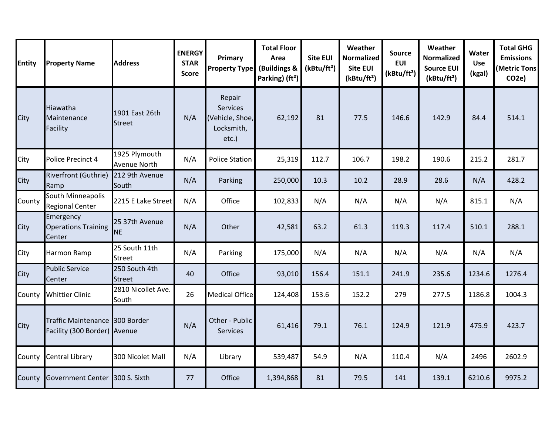| <b>Entity</b> | <b>Property Name</b>                                           | <b>Address</b>                  | <b>ENERGY</b><br><b>STAR</b><br><b>Score</b> | Primary<br><b>Property Type</b>                                     | <b>Total Floor</b><br>Area<br>(Buildings &<br>Parking) (ft <sup>2</sup> ) | <b>Site EUI</b><br>(kBtu/ft <sup>2</sup> ) | Weather<br><b>Normalized</b><br>Site EUI<br>(kBtu/ft <sup>2</sup> ) | <b>Source</b><br><b>EUI</b><br>(kBtu/ft <sup>2</sup> ) | Weather<br><b>Normalized</b><br><b>Source EUI</b><br>(kBtu/ft <sup>2</sup> ) | Water<br><b>Use</b><br>(kgal) | <b>Total GHG</b><br><b>Emissions</b><br><b>(Metric Tons</b><br>CO <sub>2</sub> e) |
|---------------|----------------------------------------------------------------|---------------------------------|----------------------------------------------|---------------------------------------------------------------------|---------------------------------------------------------------------------|--------------------------------------------|---------------------------------------------------------------------|--------------------------------------------------------|------------------------------------------------------------------------------|-------------------------------|-----------------------------------------------------------------------------------|
| City          | Hiawatha<br>Maintenance<br>Facility                            | 1901 East 26th<br><b>Street</b> | N/A                                          | Repair<br><b>Services</b><br>(Vehicle, Shoe,<br>Locksmith,<br>etc.) | 62,192                                                                    | 81                                         | 77.5                                                                | 146.6                                                  | 142.9                                                                        | 84.4                          | 514.1                                                                             |
| City          | Police Precinct 4                                              | 1925 Plymouth<br>Avenue North   | N/A                                          | <b>Police Station</b>                                               | 25,319                                                                    | 112.7                                      | 106.7                                                               | 198.2                                                  | 190.6                                                                        | 215.2                         | 281.7                                                                             |
| City          | Riverfront (Guthrie)<br>Ramp                                   | 212 9th Avenue<br>South         | N/A                                          | Parking                                                             | 250,000                                                                   | 10.3                                       | 10.2                                                                | 28.9                                                   | 28.6                                                                         | N/A                           | 428.2                                                                             |
| County        | South Minneapolis<br><b>Regional Center</b>                    | 2215 E Lake Street              | N/A                                          | Office                                                              | 102,833                                                                   | N/A                                        | N/A                                                                 | N/A                                                    | N/A                                                                          | 815.1                         | N/A                                                                               |
| City          | Emergency<br><b>Operations Training</b><br>Center              | 25 37th Avenue<br><b>NE</b>     | N/A                                          | Other                                                               | 42,581                                                                    | 63.2                                       | 61.3                                                                | 119.3                                                  | 117.4                                                                        | 510.1                         | 288.1                                                                             |
| City          | Harmon Ramp                                                    | 25 South 11th<br><b>Street</b>  | N/A                                          | Parking                                                             | 175,000                                                                   | N/A                                        | N/A                                                                 | N/A                                                    | N/A                                                                          | N/A                           | N/A                                                                               |
| City          | <b>Public Service</b><br>Center                                | 250 South 4th<br><b>Street</b>  | 40                                           | Office                                                              | 93,010                                                                    | 156.4                                      | 151.1                                                               | 241.9                                                  | 235.6                                                                        | 1234.6                        | 1276.4                                                                            |
| County        | <b>Whittier Clinic</b>                                         | 2810 Nicollet Ave.<br>South     | 26                                           | <b>Medical Office</b>                                               | 124,408                                                                   | 153.6                                      | 152.2                                                               | 279                                                    | 277.5                                                                        | 1186.8                        | 1004.3                                                                            |
| City          | Traffic Maintenance 300 Border<br>Facility (300 Border) Avenue |                                 | N/A                                          | Other - Public<br><b>Services</b>                                   | 61,416                                                                    | 79.1                                       | 76.1                                                                | 124.9                                                  | 121.9                                                                        | 475.9                         | 423.7                                                                             |
| County        | Central Library                                                | 300 Nicolet Mall                | N/A                                          | Library                                                             | 539,487                                                                   | 54.9                                       | N/A                                                                 | 110.4                                                  | N/A                                                                          | 2496                          | 2602.9                                                                            |
| County        | <b>Government Center</b>                                       | 300 S. Sixth                    | 77                                           | Office                                                              | 1,394,868                                                                 | 81                                         | 79.5                                                                | 141                                                    | 139.1                                                                        | 6210.6                        | 9975.2                                                                            |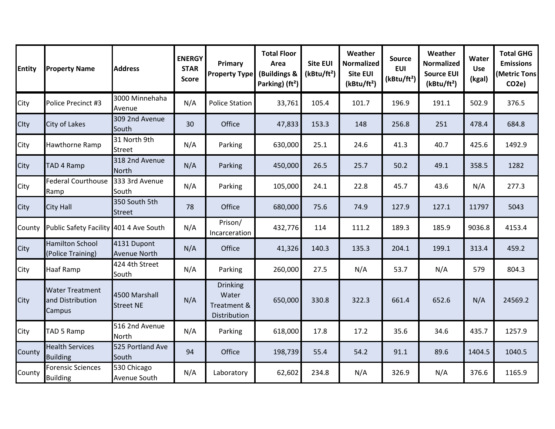| <b>Entity</b> | <b>Property Name</b>                                 | <b>Address</b>                     | <b>ENERGY</b><br><b>STAR</b><br><b>Score</b> | Primary<br><b>Property Type</b>                         | <b>Total Floor</b><br>Area<br>(Buildings &<br>Parking) (ft <sup>2</sup> ) | <b>Site EUI</b><br>(kBtu/ft <sup>2</sup> ) | Weather<br><b>Normalized</b><br><b>Site EUI</b><br>(kBtu/ft <sup>2</sup> ) | <b>Source</b><br><b>EUI</b><br>(kBtu/ft <sup>2</sup> ) | Weather<br><b>Normalized</b><br><b>Source EUI</b><br>(kBtu/ft <sup>2</sup> ) | Water<br><b>Use</b><br>(kgal) | <b>Total GHG</b><br><b>Emissions</b><br>(Metric Tons<br>CO <sub>2</sub> e) |
|---------------|------------------------------------------------------|------------------------------------|----------------------------------------------|---------------------------------------------------------|---------------------------------------------------------------------------|--------------------------------------------|----------------------------------------------------------------------------|--------------------------------------------------------|------------------------------------------------------------------------------|-------------------------------|----------------------------------------------------------------------------|
| City          | Police Precinct #3                                   | 3000 Minnehaha<br>Avenue           | N/A                                          | <b>Police Station</b>                                   | 33,761                                                                    | 105.4                                      | 101.7                                                                      | 196.9                                                  | 191.1                                                                        | 502.9                         | 376.5                                                                      |
| Clty          | City of Lakes                                        | 309 2nd Avenue<br>South            | 30                                           | Office                                                  | 47,833                                                                    | 153.3                                      | 148                                                                        | 256.8                                                  | 251                                                                          | 478.4                         | 684.8                                                                      |
| City          | Hawthorne Ramp                                       | 31 North 9th<br>Street             | N/A                                          | Parking                                                 | 630,000                                                                   | 25.1                                       | 24.6                                                                       | 41.3                                                   | 40.7                                                                         | 425.6                         | 1492.9                                                                     |
| City          | TAD 4 Ramp                                           | 318 2nd Avenue<br>North            | N/A                                          | Parking                                                 | 450,000                                                                   | 26.5                                       | 25.7                                                                       | 50.2                                                   | 49.1                                                                         | 358.5                         | 1282                                                                       |
| City          | <b>Federal Courthouse</b><br>Ramp                    | 333 3rd Avenue<br>South            | N/A                                          | Parking                                                 | 105,000                                                                   | 24.1                                       | 22.8                                                                       | 45.7                                                   | 43.6                                                                         | N/A                           | 277.3                                                                      |
| City          | <b>City Hall</b>                                     | 350 South 5th<br><b>Street</b>     | 78                                           | Office                                                  | 680,000                                                                   | 75.6                                       | 74.9                                                                       | 127.9                                                  | 127.1                                                                        | 11797                         | 5043                                                                       |
| County        | Public Safety Facility 401 4 Ave South               |                                    | N/A                                          | Prison/<br>Incarceration                                | 432,776                                                                   | 114                                        | 111.2                                                                      | 189.3                                                  | 185.9                                                                        | 9036.8                        | 4153.4                                                                     |
| City          | <b>Hamilton School</b><br>(Police Training)          | 4131 Dupont<br><b>Avenue North</b> | N/A                                          | Office                                                  | 41,326                                                                    | 140.3                                      | 135.3                                                                      | 204.1                                                  | 199.1                                                                        | 313.4                         | 459.2                                                                      |
| City          | <b>Haaf Ramp</b>                                     | 424 4th Street<br>South            | N/A                                          | Parking                                                 | 260,000                                                                   | 27.5                                       | N/A                                                                        | 53.7                                                   | N/A                                                                          | 579                           | 804.3                                                                      |
| City          | <b>Water Treatment</b><br>and Distribution<br>Campus | 4500 Marshall<br><b>Street NE</b>  | N/A                                          | <b>Drinking</b><br>Water<br>Treatment &<br>Distribution | 650,000                                                                   | 330.8                                      | 322.3                                                                      | 661.4                                                  | 652.6                                                                        | N/A                           | 24569.2                                                                    |
| City          | TAD 5 Ramp                                           | 516 2nd Avenue<br>North            | N/A                                          | Parking                                                 | 618,000                                                                   | 17.8                                       | 17.2                                                                       | 35.6                                                   | 34.6                                                                         | 435.7                         | 1257.9                                                                     |
| County        | <b>Health Services</b><br><b>Building</b>            | 525 Portland Ave<br>South          | 94                                           | Office                                                  | 198,739                                                                   | 55.4                                       | 54.2                                                                       | 91.1                                                   | 89.6                                                                         | 1404.5                        | 1040.5                                                                     |
| County        | <b>Forensic Sciences</b><br><b>Building</b>          | 530 Chicago<br>Avenue South        | N/A                                          | Laboratory                                              | 62,602                                                                    | 234.8                                      | N/A                                                                        | 326.9                                                  | N/A                                                                          | 376.6                         | 1165.9                                                                     |